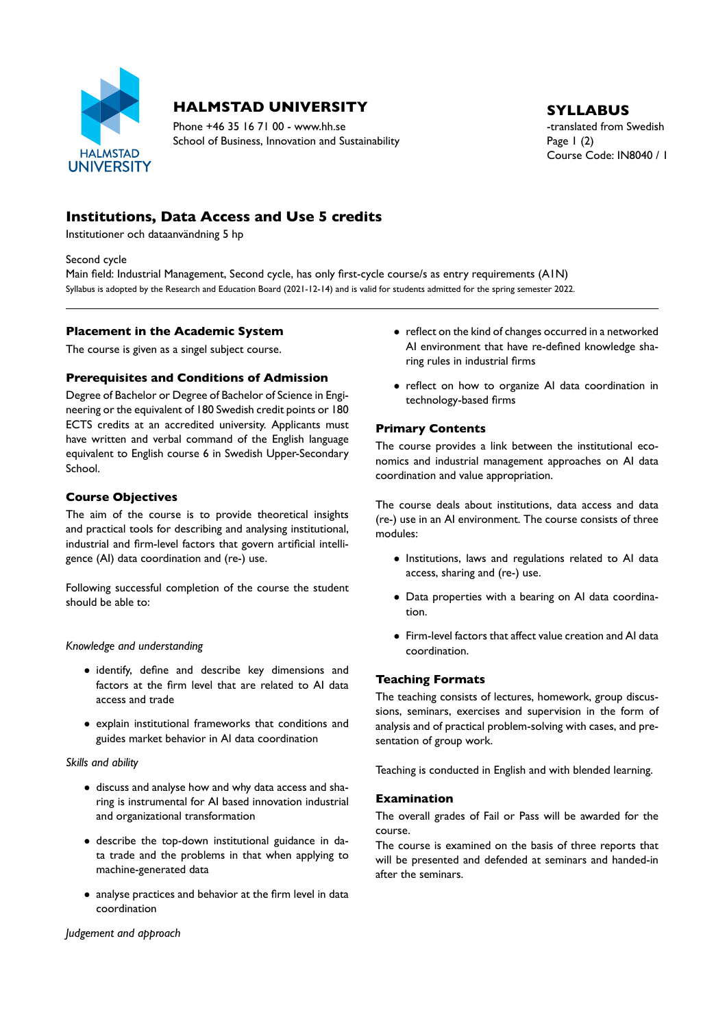

# **HALMSTAD UNIVERSITY** SYLLABUS

Phone +46 35 16 71 00 - www.hh.se the translated from Swedish School of Business, Innovation and Sustainability Page 1 (2)

Course Code: IN8040 / 1

# **Institutions, Data Access and Use 5 credits**

Institutioner och dataanvändning 5 hp

#### Second cycle

Main field: Industrial Management, Second cycle, has only first-cycle course/s as entry requirements (A1N) Syllabus is adopted by the Research and Education Board (2021-12-14) and is valid for students admitted for the spring semester 2022.

#### **Placement in the Academic System**

The course is given as a singel subject course.

## **Prerequisites and Conditions of Admission**

Degree of Bachelor or Degree of Bachelor of Science in Engi neering or the equivalent of 180 Swedish credit points or 180 ECTS credits at an accredited university. Applicants must have written and verbal command of the English language equivalent to English course 6 in Swedish Upper-Secondary School.

## **Course Objectives**

The aim of the course is to provide theoretical insights and practical tools for describing and analysing institutional, industrial and firm-level factors that govern artificial intelligence (AI) data coordination and (re-) use.

Following successful completion of the course the student should be able to:

#### *Knowledge and understanding*

- identify, define and describe key dimensions and factors at the firm level that are related to AI data access and trade
- explain institutional frameworks that conditions and guides market behavior in AI data coordination

#### *Skills and ability*

- discuss and analyse how and why data access and sha ring is instrumental for AI based innovation industrial and organizational transformation
- describe the top-down institutional guidance in data trade and the problems in that when applying to machine-generated data
- analyse practices and behavior at the firm level in data coordination

### $\bullet$  reflect on the kind of changes occurred in a networked AI environment that have re-defined knowledge sharing rules in industrial firms

• reflect on how to organize AI data coordination in technology-based firms

# **Primary Contents**

The course provides a link between the institutional eco nomics and industrial management approaches on AI data coordination and value appropriation.

The course deals about institutions, data access and data (re) use in an AI environment. The course consists of three modules:

- Institutions, laws and regulations related to AI data access, sharing and (re-) use.
- Data properties with a bearing on AI data coordina tion.
- Firm-level factors that affect value creation and AI data coordination.

# **Teaching Formats**

The teaching consists of lectures, homework, group discus sions, seminars, exercises and supervision in the form of analysis and of practical problem-solving with cases, and presentation of group work.

Teaching is conducted in English and with blended learning.

#### **Examination**

The overall grades of Fail or Pass will be awarded for the course.

The course is examined on the basis of three reports that will be presented and defended at seminars and handed-in after the seminars.

*Judgement and approach*